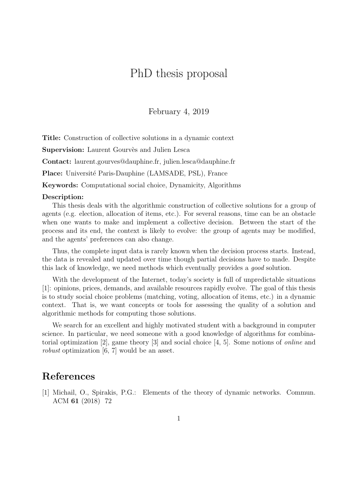## PhD thesis proposal

February 4, 2019

Title: Construction of collective solutions in a dynamic context

Supervision: Laurent Gourvès and Julien Lesca

Contact: laurent.gourves@dauphine.fr, julien.lesca@dauphine.fr

Place: Université Paris-Dauphine (LAMSADE, PSL), France

Keywords: Computational social choice, Dynamicity, Algorithms

## Description:

This thesis deals with the algorithmic construction of collective solutions for a group of agents (e.g. election, allocation of items, etc.). For several reasons, time can be an obstacle when one wants to make and implement a collective decision. Between the start of the process and its end, the context is likely to evolve: the group of agents may be modified, and the agents' preferences can also change.

Thus, the complete input data is rarely known when the decision process starts. Instead, the data is revealed and updated over time though partial decisions have to made. Despite this lack of knowledge, we need methods which eventually provides a good solution.

With the development of the Internet, today's society is full of unpredictable situations [1]: opinions, prices, demands, and available resources rapidly evolve. The goal of this thesis is to study social choice problems (matching, voting, allocation of items, etc.) in a dynamic context. That is, we want concepts or tools for assessing the quality of a solution and algorithmic methods for computing those solutions.

We search for an excellent and highly motivated student with a background in computer science. In particular, we need someone with a good knowledge of algorithms for combinatorial optimization [2], game theory [3] and social choice [4, 5]. Some notions of online and robust optimization [6, 7] would be an asset.

## References

[1] Michail, O., Spirakis, P.G.: Elements of the theory of dynamic networks. Commun. ACM 61 (2018) 72